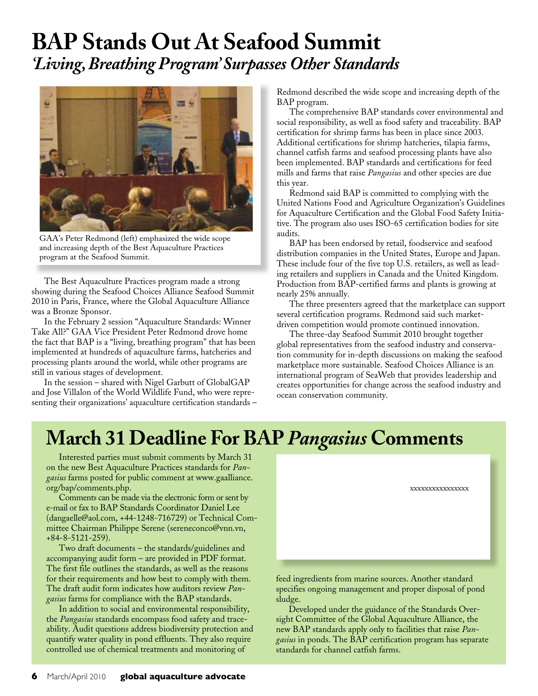## **BAP Stands Out At Seafood Summit** *'Living, Breathing Program' Surpasses Other Standards*



GAA's Peter Redmond (left) emphasized the wide scope and increasing depth of the Best Aquaculture Practices program at the Seafood Summit.

The Best Aquaculture Practices program made a strong showing during the Seafood Choices Alliance Seafood Summit 2010 in Paris, France, where the Global Aquaculture Alliance was a Bronze Sponsor.

In the February 2 session "Aquaculture Standards: Winner Take All?" GAA Vice President Peter Redmond drove home the fact that BAP is a "living, breathing program" that has been implemented at hundreds of aquaculture farms, hatcheries and processing plants around the world, while other programs are still in various stages of development.

In the session – shared with Nigel Garbutt of GlobalGAP and Jose Villalon of the World Wildlife Fund, who were representing their organizations' aquaculture certification standards – Redmond described the wide scope and increasing depth of the BAP program.

The comprehensive BAP standards cover environmental and social responsibility, as well as food safety and traceability. BAP certification for shrimp farms has been in place since 2003. Additional certifications for shrimp hatcheries, tilapia farms, channel catfish farms and seafood processing plants have also been implemented. BAP standards and certifications for feed mills and farms that raise *Pangasius* and other species are due this year.

Redmond said BAP is committed to complying with the United Nations Food and Agriculture Organization's Guidelines for Aquaculture Certification and the Global Food Safety Initiative. The program also uses ISO-65 certification bodies for site audits.

BAP has been endorsed by retail, foodservice and seafood distribution companies in the United States, Europe and Japan. These include four of the five top U.S. retailers, as well as leading retailers and suppliers in Canada and the United Kingdom. Production from BAP-certified farms and plants is growing at nearly 25% annually.

The three presenters agreed that the marketplace can support several certification programs. Redmond said such marketdriven competition would promote continued innovation.

The three-day Seafood Summit 2010 brought together global representatives from the seafood industry and conservation community for in-depth discussions on making the seafood marketplace more sustainable. Seafood Choices Alliance is an international program of SeaWeb that provides leadership and creates opportunities for change across the seafood industry and ocean conservation community.

## **March 31 Deadline For BAP** *Pangasius* **Comments**

Interested parties must submit comments by March 31 on the new Best Aquaculture Practices standards for *Pangasius* farms posted for public comment at www.gaalliance. org/bap/comments.php.

Comments can be made via the electronic form or sent by e-mail or fax to BAP Standards Coordinator Daniel Lee (dangaelle@aol.com, +44-1248-716729) or Technical Committee Chairman Philippe Serene (sereneconco@vnn.vn, +84-8-5121-259).

Two draft documents – the standards/guidelines and accompanying audit form – are provided in PDF format. The first file outlines the standards, as well as the reasons for their requirements and how best to comply with them. The draft audit form indicates how auditors review *Pangasius* farms for compliance with the BAP standards.

In addition to social and environmental responsibility, the *Pangasius* standards encompass food safety and traceability. Audit questions address biodiversity protection and quantify water quality in pond effluents. They also require controlled use of chemical treatments and monitoring of

xxxxxxxxxxxxxxxx

feed ingredients from marine sources. Another standard specifies ongoing management and proper disposal of pond sludge.

Developed under the guidance of the Standards Oversight Committee of the Global Aquaculture Alliance, the new BAP standards apply only to facilities that raise *Pangasius* in ponds. The BAP certification program has separate standards for channel catfish farms.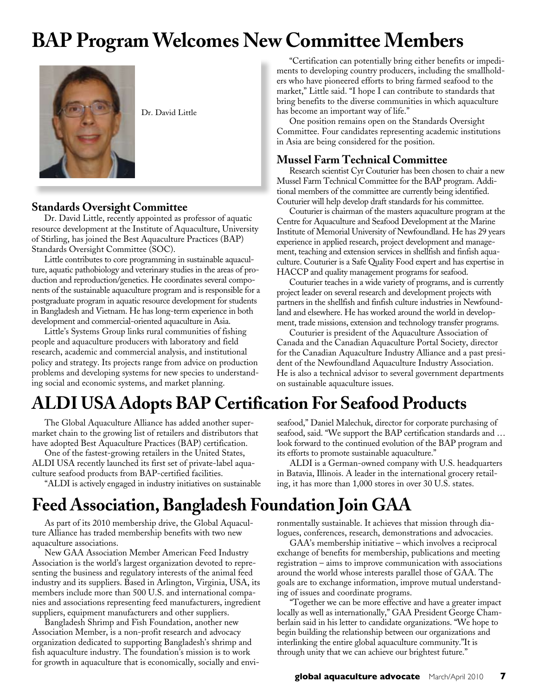## **BAP Program Welcomes New Committee Members**



Dr. David Little

### **Standards Oversight Committee**

Dr. David Little, recently appointed as professor of aquatic resource development at the Institute of Aquaculture, University of Stirling, has joined the Best Aquaculture Practices (BAP) Standards Oversight Committee (SOC).

Little contributes to core programming in sustainable aquaculture, aquatic pathobiology and veterinary studies in the areas of production and reproduction/genetics. He coordinates several components of the sustainable aquaculture program and is responsible for a postgraduate program in aquatic resource development for students in Bangladesh and Vietnam. He has long-term experience in both development and commercial-oriented aquaculture in Asia.

Little's Systems Group links rural communities of fishing people and aquaculture producers with laboratory and field research, academic and commercial analysis, and institutional policy and strategy. Its projects range from advice on production problems and developing systems for new species to understanding social and economic systems, and market planning.

"Certification can potentially bring either benefits or impediments to developing country producers, including the smallholders who have pioneered efforts to bring farmed seafood to the market," Little said. "I hope I can contribute to standards that bring benefits to the diverse communities in which aquaculture has become an important way of life."

One position remains open on the Standards Oversight Committee. Four candidates representing academic institutions in Asia are being considered for the position.

### **Mussel Farm Technical Committee**

Research scientist Cyr Couturier has been chosen to chair a new Mussel Farm Technical Committee for the BAP program. Additional members of the committee are currently being identified. Couturier will help develop draft standards for his committee.

Couturier is chairman of the masters aquaculture program at the Centre for Aquaculture and Seafood Development at the Marine Institute of Memorial University of Newfoundland. He has 29 years experience in applied research, project development and management, teaching and extension services in shellfish and finfish aquaculture. Couturier is a Safe Quality Food expert and has expertise in HACCP and quality management programs for seafood.

Couturier teaches in a wide variety of programs, and is currently project leader on several research and development projects with partners in the shellfish and finfish culture industries in Newfoundland and elsewhere. He has worked around the world in development, trade missions, extension and technology transfer programs.

Couturier is president of the Aquaculture Association of Canada and the Canadian Aquaculture Portal Society, director for the Canadian Aquaculture Industry Alliance and a past president of the Newfoundland Aquaculture Industry Association. He is also a technical advisor to several government departments on sustainable aquaculture issues.

## **ALDI USA Adopts BAP Certification For Seafood Products**

The Global Aquaculture Alliance has added another supermarket chain to the growing list of retailers and distributors that have adopted Best Aquaculture Practices (BAP) certification.

One of the fastest-growing retailers in the United States, ALDI USA recently launched its first set of private-label aquaculture seafood products from BAP-certified facilities.

"ALDI is actively engaged in industry initiatives on sustainable

#### seafood," Daniel Malechuk, director for corporate purchasing of seafood, said. "We support the BAP certification standards and … look forward to the continued evolution of the BAP program and its efforts to promote sustainable aquaculture."

ALDI is a German-owned company with U.S. headquarters in Batavia, Illinois. A leader in the international grocery retailing, it has more than 1,000 stores in over 30 U.S. states.

## **Feed Association, Bangladesh Foundation Join GAA**

As part of its 2010 membership drive, the Global Aquaculture Alliance has traded membership benefits with two new aquaculture associations.

New GAA Association Member American Feed Industry Association is the world's largest organization devoted to representing the business and regulatory interests of the animal feed industry and its suppliers. Based in Arlington, Virginia, USA, its members include more than 500 U.S. and international companies and associations representing feed manufacturers, ingredient suppliers, equipment manufacturers and other suppliers.

Bangladesh Shrimp and Fish Foundation, another new Association Member, is a non-profit research and advocacy organization dedicated to supporting Bangladesh's shrimp and fish aquaculture industry. The foundation's mission is to work for growth in aquaculture that is economically, socially and envi-

ronmentally sustainable. It achieves that mission through dialogues, conferences, research, demonstrations and advocacies.

GAA's membership initiative – which involves a reciprocal exchange of benefits for membership, publications and meeting registration – aims to improve communication with associations around the world whose interests parallel those of GAA. The goals are to exchange information, improve mutual understanding of issues and coordinate programs.

"Together we can be more effective and have a greater impact locally as well as internationally," GAA President George Chamberlain said in his letter to candidate organizations. "We hope to begin building the relationship between our organizations and interlinking the entire global aquaculture community."It is through unity that we can achieve our brightest future."